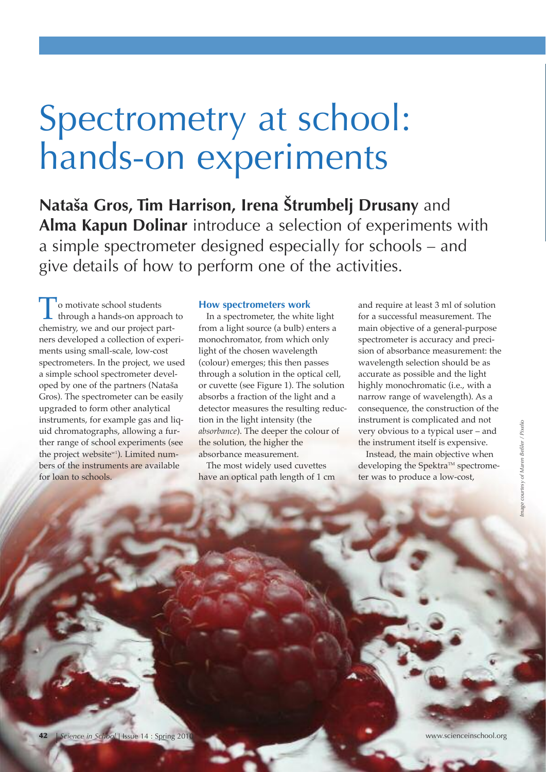# Spectrometry at school: hands-on experiments

**nataša Gros, Tim Harrison, Irena Štrumbelj drusany** and Alma Kapun Dolinar introduce a selection of experiments with a simple spectrometer designed especially for schools – and give details of how to perform one of the activities.

To motivate school students through a hands-on approach to chemistry, we and our project partners developed a collection of experiments using small-scale, low-cost spectrometers. In the project, we used a simple school spectrometer developed by one of the partners (Nataša Gros). The spectrometer can be easily upgraded to form other analytical instruments, for example gas and liquid chromatographs, allowing a further range of school experiments (see the project website<sup>w1</sup>). Limited numbers of the instruments are available for loan to schools.

#### **How spectrometers work**

In a spectrometer, the white light from a light source (a bulb) enters a monochromator, from which only light of the chosen wavelength (colour) emerges; this then passes through a solution in the optical cell, or cuvette (see Figure 1). The solution absorbs a fraction of the light and a detector measures the resulting reduction in the light intensity (the *absorbance*). The deeper the colour of the solution, the higher the absorbance measurement.

The most widely used cuvettes have an optical path length of 1 cm and require at least 3 ml of solution for a successful measurement. The main objective of a general-purpose spectrometer is accuracy and precision of absorbance measurement: the wavelength selection should be as accurate as possible and the light highly monochromatic (i.e., with a narrow range of wavelength). As a consequence, the construction of the instrument is complicated and not very obvious to a typical user – and the instrument itself is expensive.

Instead, the main objective when developing the Spektra™ spectrometer was to produce a low-cost,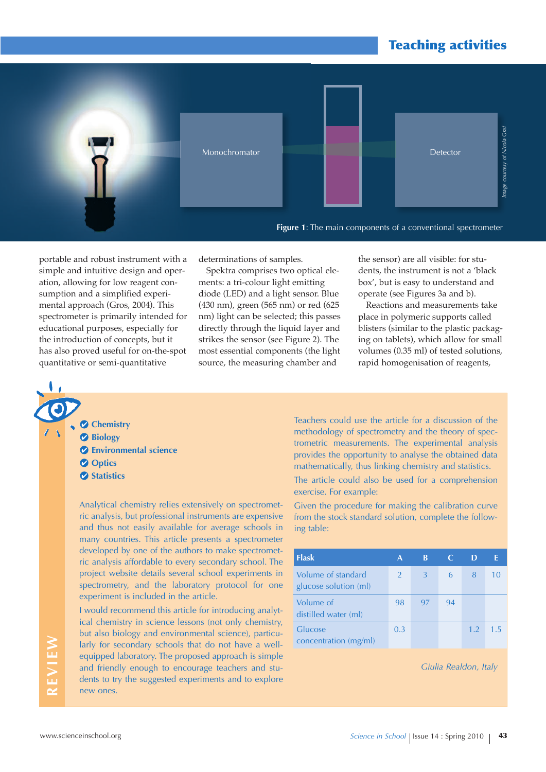

portable and robust instrument with a simple and intuitive design and operation, allowing for low reagent consumption and a simplified experimental approach (Gros, 2004). This spectrometer is primarily intended for educational purposes, especially for the introduction of concepts, but it has also proved useful for on-the-spot quantitative or semi-quantitative

determinations of samples.

Spektra comprises two optical elements: a tri-colour light emitting diode (LED) and a light sensor. Blue (430 nm), green (565 nm) or red (625 nm) light can be selected; this passes directly through the liquid layer and strikes the sensor (see Figure 2). The most essential components (the light source, the measuring chamber and

the sensor) are all visible: for students, the instrument is not a 'black box', but is easy to understand and operate (see Figures 3a and b).

Reactions and measurements take place in polymeric supports called blisters (similar to the plastic packaging on tablets), which allow for small volumes (0.35 ml) of tested solutions, rapid homogenisation of reagents,

**Chemistry Biology Environmental science** *O* Optics **Statistics** 

Analytical chemistry relies extensively on spectrometric analysis, but professional instruments are expensive and thus not easily available for average schools in many countries. This article presents a spectrometer developed by one of the authors to make spectrometric analysis affordable to every secondary school. The project website details several school experiments in spectrometry, and the laboratory protocol for one experiment is included in the article.

I would recommend this article for introducing analytical chemistry in science lessons (not only chemistry, but also biology and environmental science), particularly for secondary schools that do not have a wellequipped laboratory. The proposed approach is simple and friendly enough to encourage teachers and students to try the suggested experiments and to explore new ones.

Teachers could use the article for a discussion of the methodology of spectrometry and the theory of spectrometric measurements. The experimental analysis provides the opportunity to analyse the obtained data mathematically, thus linking chemistry and statistics.

The article could also be used for a comprehension exercise. For example:

Given the procedure for making the calibration curve from the stock standard solution, complete the following table:

| <b>Flask</b>                                | A             | B  |    |     |        |
|---------------------------------------------|---------------|----|----|-----|--------|
| Volume of standard<br>glucose solution (ml) | $\mathcal{P}$ | 3  | 6  | 8   | 10     |
| Volume of<br>distilled water (ml)           | 98            | 97 | 94 |     |        |
| Glucose<br>concentration (mg/ml)            | 0.3           |    |    | 1.2 | $1\,5$ |

*Giulia Realdon, Italy*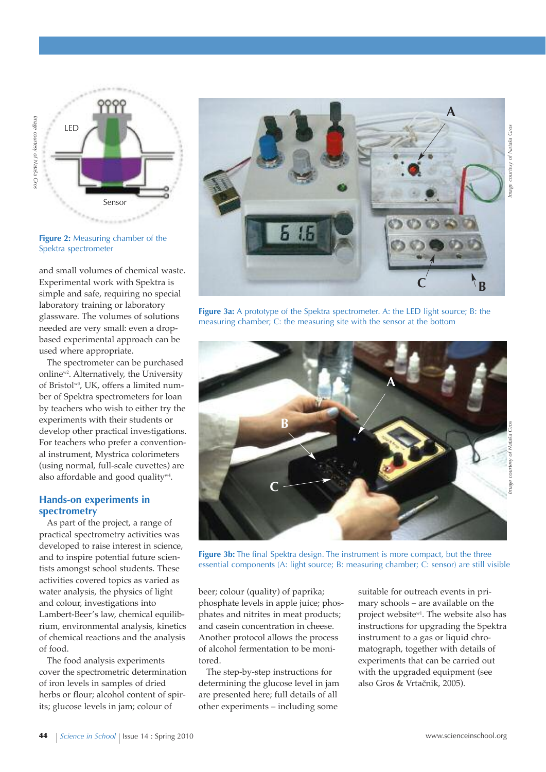

**Figure 2:** Measuring chamber of the Spektra spectrometer

and small volumes of chemical waste. Experimental work with Spektra is simple and safe, requiring no special laboratory training or laboratory glassware. The volumes of solutions needed are very small: even a dropbased experimental approach can be used where appropriate.

The spectrometer can be purchased onlinew2 . Alternatively, the University of Bristol w3 , UK, offers a limited number of Spektra spectrometers for loan by teachers who wish to either try the experiments with their students or develop other practical investigations. For teachers who prefer a conventional instrument, Mystrica colorimeters (using normal, full-scale cuvettes) are also affordable and good quality $w^4$ .

#### **Hands-on experiments in spectrometry**

As part of the project, a range of practical spectrometry activities was developed to raise interest in science, and to inspire potential future scientists amongst school students. These activities covered topics as varied as water analysis, the physics of light and colour, investigations into Lambert-Beer's law, chemical equilibrium, environmental analysis, kinetics of chemical reactions and the analysis of food.

The food analysis experiments cover the spectrometric determination of iron levels in samples of dried herbs or flour; alcohol content of spirits; glucose levels in jam; colour of



**Figure 3a:** A prototype of the Spektra spectrometer. A: the LED light source; B: the measuring chamber; C: the measuring site with the sensor at the bottom



**Figure 3b:** The final Spektra design. The instrument is more compact, but the three essential components (A: light source; B: measuring chamber; C: sensor) are still visible

beer; colour (quality) of paprika; phosphate levels in apple juice; phosphates and nitrites in meat products; and casein concentration in cheese. Another protocol allows the process of alcohol fermentation to be monitored.

The step-by-step instructions for determining the glucose level in jam are presented here; full details of all other experiments – including some

suitable for outreach events in primary schools – are available on the project website<sup>w1</sup>. The website also has instructions for upgrading the Spektra instrument to a gas or liquid chromatograph, together with details of experiments that can be carried out with the upgraded equipment (see also Gros & Vrtačnik, 2005).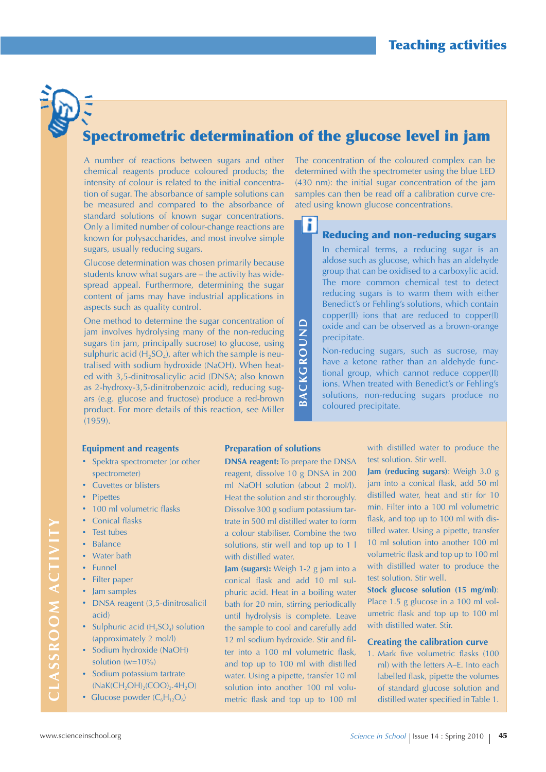## **Spectrometric determination of the glucose level in jam**

A number of reactions between sugars and other chemical reagents produce coloured products; the intensity of colour is related to the initial concentration of sugar. The absorbance of sample solutions can be measured and compared to the absorbance of standard solutions of known sugar concentrations. Only a limited number of colour-change reactions are known for polysaccharides, and most involve simple sugars, usually reducing sugars.

Glucose determination was chosen primarily because students know what sugars are – the activity has widespread appeal. Furthermore, determining the sugar content of jams may have industrial applications in aspects such as quality control.

One method to determine the sugar concentration of jam involves hydrolysing many of the non-reducing sugars (in jam, principally sucrose) to glucose, using sulphuric acid ( $H_2SO_4$ ), after which the sample is neutralised with sodium hydroxide (NaOH). When heated with 3,5-dinitrosalicylic acid (DNSA; also known as 2-hydroxy-3,5-dinitrobenzoic acid), reducing sugars (e.g. glucose and fructose) produce a red-brown product. For more details of this reaction, see Miller (1959).

#### **Equipment and reagents**

- **·** Spektra spectrometer (or other spectrometer)
- **·** Cuvettes or blisters
- **·** Pipettes
- **·** <sup>100</sup> ml volumetric flasks
- **·** Conical flasks
- **·** Test tubes
- **·** Balance
- **·** Water bath
- **·** Funnel
- **·** Filter paper
- **·** Jam samples
- **·** DNSA reagent (3,5-dinitrosalicil acid)
- Sulphuric acid (H<sub>2</sub>SO<sub>4</sub>) solution (approximately 2 mol/l)
- **·** Sodium hydroxide (NaOH) solution  $(w=10\%)$
- **·** Sodium potassium tartrate  $(NaK(CH<sub>2</sub>OH)<sub>2</sub>(COO)<sub>2</sub>.4H<sub>2</sub>O)$
- Glucose powder  $(C_6H_{12}O_6)$

**Preparation of solutions**

**donSA reagent:** To prepare the DNSA reagent, dissolve 10 g DNSA in 200 ml NaOH solution (about 2 mol/l). Heat the solution and stir thoroughly. Dissolve 300 g sodium potassium tartrate in 500 ml distilled water to form a colour stabiliser. Combine the two solutions, stir well and top up to 1 l with distilled water.

**BA C k G R O u n d**

**Jam (sugars):** Weigh 1-2 g jam into a conical flask and add 10 ml sulphuric acid. Heat in a boiling water bath for 20 min, stirring periodically until hydrolysis is complete. Leave the sample to cool and carefully add 12 ml sodium hydroxide. Stir and filter into a 100 ml volumetric flask, and top up to 100 ml with distilled water. Using a pipette, transfer 10 ml solution into another 100 ml volumetric flask and top up to 100 ml

The concentration of the coloured complex can be determined with the spectrometer using the blue LED (430 nm): the initial sugar concentration of the jam samples can then be read off a calibration curve created using known glucose concentrations.

#### ١i **Reducing and non-reducing sugars**

In chemical terms, a reducing sugar is an aldose such as glucose, which has an aldehyde group that can be oxidised to a carboxylic acid. The more common chemical test to detect reducing sugars is to warm them with either Benedict's or Fehling's solutions, which contain copper(II) ions that are reduced to copper(I) oxide and can be observed as a brown-orange precipitate.

Non-reducing sugars, such as sucrose, may have a ketone rather than an aldehyde functional group, which cannot reduce copper(II) ions. When treated with Benedict's or Fehling's solutions, non-reducing sugars produce no coloured precipitate.

> with distilled water to produce the test solution. Stir well.

> **Jam (reducing sugars)**: Weigh 3.0 g jam into a conical flask, add 50 ml distilled water, heat and stir for 10 min. Filter into a 100 ml volumetric flask, and top up to 100 ml with distilled water. Using a pipette, transfer 10 ml solution into another 100 ml volumetric flask and top up to 100 ml with distilled water to produce the test solution. Stir well.

> **Stock glucose solution (15 mg/ml)**: Place 1.5 g glucose in a 100 ml volumetric flask and top up to 100 ml with distilled water. Stir.

#### **Creating the calibration curve**

1. Mark five volumetric flasks (100 ml) with the letters A–E. Into each labelled flask, pipette the volumes of standard glucose solution and distilled water specified in Table 1.

**C**

**S S R O O**  $\Sigma$ 

**C**

**TIvIT**

**y**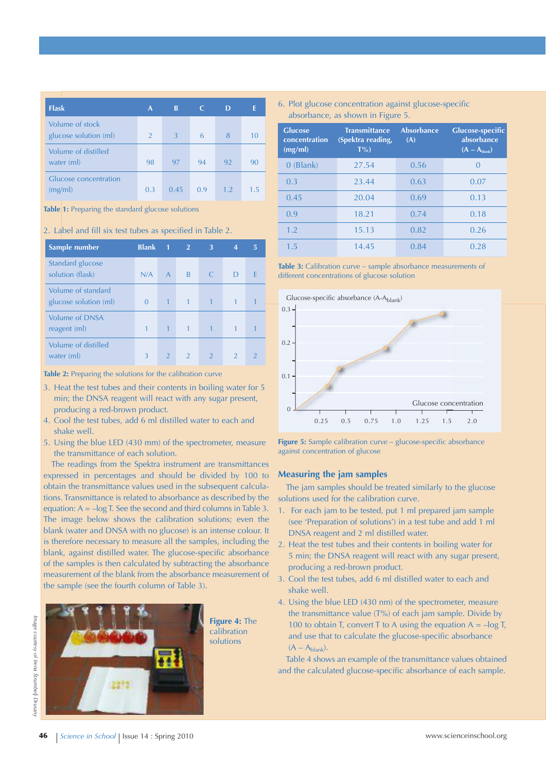| <b>Flask</b>                             | A              | B    |    | D   |    |
|------------------------------------------|----------------|------|----|-----|----|
| Volume of stock<br>glucose solution (ml) | $\overline{2}$ | 3    | 6  | 8   | 10 |
| Volume of distilled<br>water (ml)        | 98             | 97   | 94 | 92  | 90 |
| Glucose concentration<br>(mg/ml)         | 0.3            | 0.45 | 09 | 1.2 | 15 |

#### **Table 1:** Preparing the standard glucose solutions

#### 2. Label and fill six test tubes as specified in Table 2.

| Sample number                               | <b>Blank</b> | $\mathbf{1}$   | $\overline{2}$ | 3             | 4             | 5             |
|---------------------------------------------|--------------|----------------|----------------|---------------|---------------|---------------|
| Standard glucose<br>solution (flask)        | N/A          | $\overline{A}$ | <sub>B</sub>   | $\mathsf{C}$  | Ð             | F             |
| Volume of standard<br>glucose solution (ml) | $\Omega$     | $\mathbf{1}$   | 1              |               |               | 1             |
| <b>Volume of DNSA</b><br>reagent (ml)       | 1            | $\mathbf{1}$   | 1              | 4             |               |               |
| Volume of distilled<br>water (ml)           | 3            | $\overline{2}$ | $\mathcal{P}$  | $\mathcal{P}$ | $\mathcal{P}$ | $\mathcal{P}$ |

**Table 2:** Preparing the solutions for the calibration curve

- 3. Heat the test tubes and their contents in boiling water for 5 min; the DNSA reagent will react with any sugar present, producing a red-brown product.
- 4. Cool the test tubes, add 6 ml distilled water to each and shake well.
- 5. Using the blue LED (430 mm) of the spectrometer, measure the transmittance of each solution.

The readings from the Spektra instrument are transmittances expressed in percentages and should be divided by 100 to obtain the transmittance values used in the subsequent calculations. Transmittance is related to absorbance as described by the equation:  $A = -\log T$ . See the second and third columns in Table 3. The image below shows the calibration solutions; even the blank (water and DNSA with no glucose) is an intense colour. It is therefore necessary to measure all the samples, including the blank, against distilled water. The glucose-specific absorbance of the samples is then calculated by subtracting the absorbance measurement of the blank from the absorbance measurement of the sample (see the fourth column of Table 3).



**Figure 4:** The calibration solutions

#### 6. Plot glucose concentration against glucose-specific absorbance, as shown in Figure 5.

| <b>Glucose</b><br>concentration<br>(mg/ml) | <b>Transmittance</b><br>(Spektra reading,<br>$T\%$ | <b>Absorbance</b><br>(A) | <b>Glucose-specific</b><br>absorbance<br>$(A - A_{\text{blank}})$ |
|--------------------------------------------|----------------------------------------------------|--------------------------|-------------------------------------------------------------------|
| $0$ (Blank)                                | 27.54                                              | 0.56                     | $\Omega$                                                          |
| 0.3                                        | 23.44                                              | 0.63                     | 0.07                                                              |
| 0.45                                       | 20.04                                              | 0.69                     | 0.13                                                              |
| 0.9                                        | 18.21                                              | 0.74                     | 0.18                                                              |
| 1.2                                        | 15.13                                              | 0.82                     | 0.26                                                              |
| 1.5                                        | 14.45                                              | 0.84                     | 0.28                                                              |

**Table 3:** Calibration curve – sample absorbance measurements of different concentrations of glucose solution



**Figure 5:** Sample calibration curve – glucose-specific absorbance against concentration of glucose

#### **Measuring the jam samples**

The jam samples should be treated similarly to the glucose solutions used for the calibration curve.

- 1. For each jam to be tested, put 1 ml prepared jam sample (see 'Preparation of solutions') in a test tube and add 1 ml DNSA reagent and 2 ml distilled water.
- 2. Heat the test tubes and their contents in boiling water for 5 min; the DNSA reagent will react with any sugar present, producing a red-brown product.
- 3. Cool the test tubes, add 6 ml distilled water to each and shake well.
- 4. Using the blue LED (430 nm) of the spectrometer, measure the transmittance value (T%) of each jam sample. Divide by 100 to obtain T, convert T to A using the equation  $A = -\log T$ , and use that to calculate the glucose-specific absorbance  $(A - A_{\text{blank}}).$

Table 4 shows an example of the transmittance values obtained and the calculated glucose-specific absorbance of each sample.